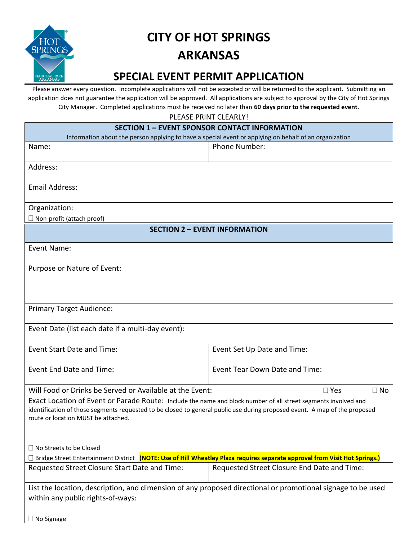

## **CITY OF HOT SPRINGS ARKANSAS**

## **SPECIAL EVENT PERMIT APPLICATION**

Please answer every question. Incomplete applications will not be accepted or will be returned to the applicant. Submitting an application does not guarantee the application will be approved. All applications are subject to approval by the City of Hot Springs City Manager. Completed applications must be received no later than **60 days prior to the requested event**.

PLEASE PRINT CLEARLYL

| FLLAJL FINITI CLLAINLI.                                                                                                                                                                                                                                                             |                                             |  |
|-------------------------------------------------------------------------------------------------------------------------------------------------------------------------------------------------------------------------------------------------------------------------------------|---------------------------------------------|--|
| <b>SECTION 1 - EVENT SPONSOR CONTACT INFORMATION</b><br>Information about the person applying to have a special event or applying on behalf of an organization                                                                                                                      |                                             |  |
| Name:                                                                                                                                                                                                                                                                               | Phone Number:                               |  |
|                                                                                                                                                                                                                                                                                     |                                             |  |
| Address:                                                                                                                                                                                                                                                                            |                                             |  |
| <b>Email Address:</b>                                                                                                                                                                                                                                                               |                                             |  |
| Organization:                                                                                                                                                                                                                                                                       |                                             |  |
| $\Box$ Non-profit (attach proof)                                                                                                                                                                                                                                                    |                                             |  |
| <b>SECTION 2 - EVENT INFORMATION</b>                                                                                                                                                                                                                                                |                                             |  |
| Event Name:                                                                                                                                                                                                                                                                         |                                             |  |
| Purpose or Nature of Event:                                                                                                                                                                                                                                                         |                                             |  |
|                                                                                                                                                                                                                                                                                     |                                             |  |
| <b>Primary Target Audience:</b>                                                                                                                                                                                                                                                     |                                             |  |
| Event Date (list each date if a multi-day event):                                                                                                                                                                                                                                   |                                             |  |
| <b>Event Start Date and Time:</b>                                                                                                                                                                                                                                                   | Event Set Up Date and Time:                 |  |
| Event End Date and Time:                                                                                                                                                                                                                                                            | Event Tear Down Date and Time:              |  |
| Will Food or Drinks be Served or Available at the Event:<br>$\square$ Yes<br>$\Box$ No                                                                                                                                                                                              |                                             |  |
| Exact Location of Event or Parade Route: Include the name and block number of all street segments involved and<br>identification of those segments requested to be closed to general public use during proposed event. A map of the proposed<br>route or location MUST be attached. |                                             |  |
| □ No Streets to be Closed                                                                                                                                                                                                                                                           |                                             |  |
| □ Bridge Street Entertainment District (NOTE: Use of Hill Wheatley Plaza requires separate approval from Visit Hot Springs.)                                                                                                                                                        |                                             |  |
| Requested Street Closure Start Date and Time:                                                                                                                                                                                                                                       | Requested Street Closure End Date and Time: |  |
| List the location, description, and dimension of any proposed directional or promotional signage to be used<br>within any public rights-of-ways:                                                                                                                                    |                                             |  |
| $\Box$ No Signage                                                                                                                                                                                                                                                                   |                                             |  |